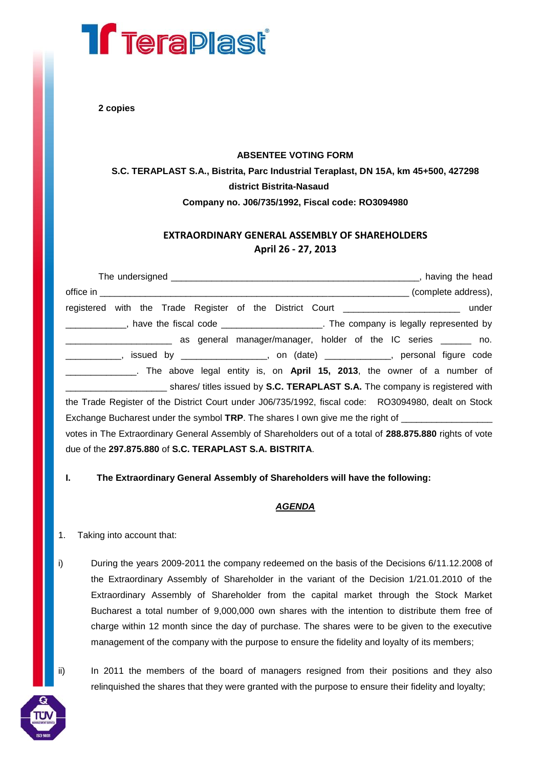# **Treraplast**

**2 copies**

#### **ABSENTEE VOTING FORM**

## **S.C. TERAPLAST S.A., Bistrita, Parc Industrial Teraplast, DN 15A, km 45+500, 427298 district Bistrita-Nasaud Company no. J06/735/1992, Fiscal code: RO3094980**

### **EXTRAORDINARY GENERAL ASSEMBLY OF SHAREHOLDERS April 26 - 27, 2013**

| registered with the Trade Register of the District Court ________________________ under                  |
|----------------------------------------------------------------------------------------------------------|
| ____________, have the fiscal code ______________________. The company is legally represented by         |
| as general manager/manager, holder of the IC series ______ no.                                           |
| _____________, issued by __________________, on (date) ____________, personal figure code                |
| _____. The above legal entity is, on April 15, 2013, the owner of a number of                            |
| shares/ titles issued by <b>S.C. TERAPLAST S.A.</b> The company is registered with                       |
| the Trade Register of the District Court under J06/735/1992, fiscal code: RO3094980, dealt on Stock      |
| Exchange Bucharest under the symbol TRP. The shares I own give me the right of ____________________      |
| votes in The Extraordinary General Assembly of Shareholders out of a total of 288.875.880 rights of vote |
| due of the 297.875.880 of S.C. TERAPLAST S.A. BISTRITA.                                                  |

#### **I. The Extraordinary General Assembly of Shareholders will have the following:**

#### *AGENDA*

#### 1. Taking into account that:

i) During the years 2009-2011 the company redeemed on the basis of the Decisions 6/11.12.2008 of the Extraordinary Assembly of Shareholder in the variant of the Decision 1/21.01.2010 of the Extraordinary Assembly of Shareholder from the capital market through the Stock Market Bucharest a total number of 9,000,000 own shares with the intention to distribute them free of charge within 12 month since the day of purchase. The shares were to be given to the executive management of the company with the purpose to ensure the fidelity and loyalty of its members;

ii) In 2011 the members of the board of managers resigned from their positions and they also relinquished the shares that they were granted with the purpose to ensure their fidelity and loyalty;

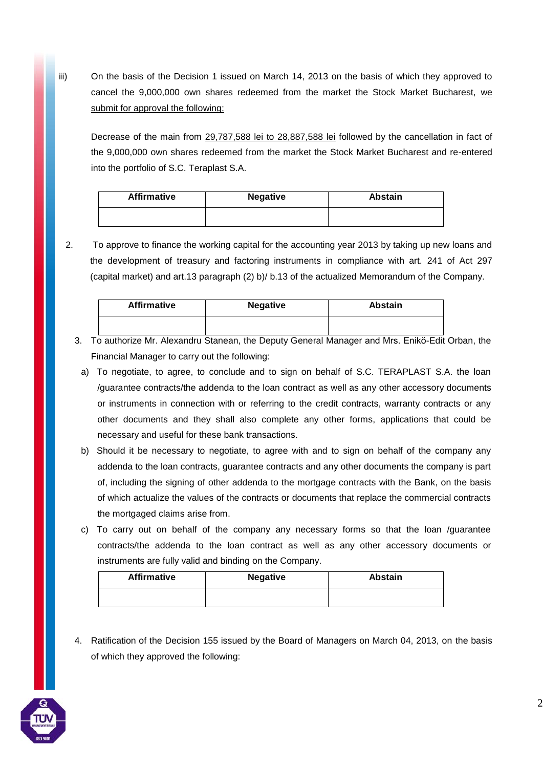iii) On the basis of the Decision 1 issued on March 14, 2013 on the basis of which they approved to cancel the 9,000,000 own shares redeemed from the market the Stock Market Bucharest, we submit for approval the following:

Decrease of the main from 29,787,588 lei to 28,887,588 lei followed by the cancellation in fact of the 9,000,000 own shares redeemed from the market the Stock Market Bucharest and re-entered into the portfolio of S.C. Teraplast S.A.

| <b>Affirmative</b> | <b>Negative</b> | <b>Abstain</b> |
|--------------------|-----------------|----------------|
|                    |                 |                |

2. To approve to finance the working capital for the accounting year 2013 by taking up new loans and the development of treasury and factoring instruments in compliance with art. 241 of Act 297 (capital market) and art.13 paragraph (2) b)/ b.13 of the actualized Memorandum of the Company.

| <b>Affirmative</b> | <b>Negative</b> | <b>Abstain</b> |
|--------------------|-----------------|----------------|
|                    |                 |                |

- 3. To authorize Mr. Alexandru Stanean, the Deputy General Manager and Mrs. Enikö-Edit Orban, the Financial Manager to carry out the following:
	- a) To negotiate, to agree, to conclude and to sign on behalf of S.C. TERAPLAST S.A. the loan /guarantee contracts/the addenda to the loan contract as well as any other accessory documents or instruments in connection with or referring to the credit contracts, warranty contracts or any other documents and they shall also complete any other forms, applications that could be necessary and useful for these bank transactions.
	- b) Should it be necessary to negotiate, to agree with and to sign on behalf of the company any addenda to the loan contracts, guarantee contracts and any other documents the company is part of, including the signing of other addenda to the mortgage contracts with the Bank, on the basis of which actualize the values of the contracts or documents that replace the commercial contracts the mortgaged claims arise from.
	- c) To carry out on behalf of the company any necessary forms so that the loan /guarantee contracts/the addenda to the loan contract as well as any other accessory documents or instruments are fully valid and binding on the Company.

| <b>Affirmative</b> | <b>Negative</b> | <b>Abstain</b> |
|--------------------|-----------------|----------------|
|                    |                 |                |

4. Ratification of the Decision 155 issued by the Board of Managers on March 04, 2013, on the basis of which they approved the following:

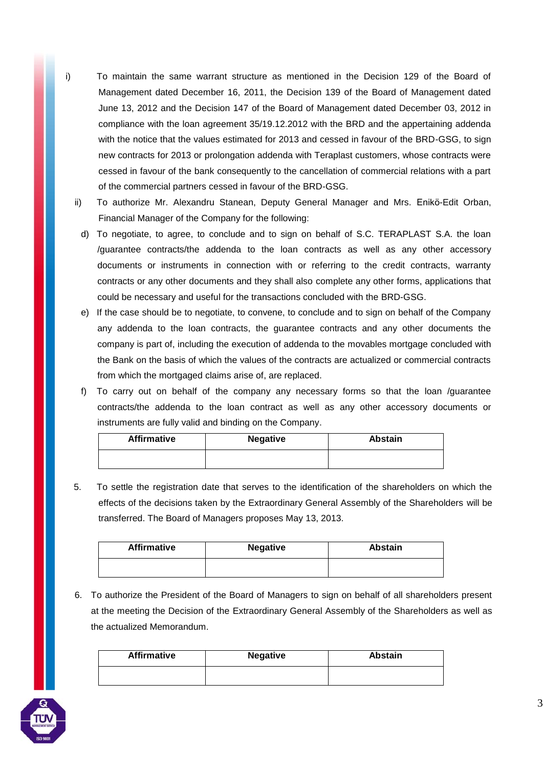- i) To maintain the same warrant structure as mentioned in the Decision 129 of the Board of Management dated December 16, 2011, the Decision 139 of the Board of Management dated June 13, 2012 and the Decision 147 of the Board of Management dated December 03, 2012 in compliance with the loan agreement 35/19.12.2012 with the BRD and the appertaining addenda with the notice that the values estimated for 2013 and cessed in favour of the BRD-GSG, to sign new contracts for 2013 or prolongation addenda with Teraplast customers, whose contracts were cessed in favour of the bank consequently to the cancellation of commercial relations with a part of the commercial partners cessed in favour of the BRD-GSG.
	- ii) To authorize Mr. Alexandru Stanean, Deputy General Manager and Mrs. Enikö-Edit Orban, Financial Manager of the Company for the following:
		- d) To negotiate, to agree, to conclude and to sign on behalf of S.C. TERAPLAST S.A. the loan /guarantee contracts/the addenda to the loan contracts as well as any other accessory documents or instruments in connection with or referring to the credit contracts, warranty contracts or any other documents and they shall also complete any other forms, applications that could be necessary and useful for the transactions concluded with the BRD-GSG.
		- e) If the case should be to negotiate, to convene, to conclude and to sign on behalf of the Company any addenda to the loan contracts, the guarantee contracts and any other documents the company is part of, including the execution of addenda to the movables mortgage concluded with the Bank on the basis of which the values of the contracts are actualized or commercial contracts from which the mortgaged claims arise of, are replaced.
		- f) To carry out on behalf of the company any necessary forms so that the loan /guarantee contracts/the addenda to the loan contract as well as any other accessory documents or instruments are fully valid and binding on the Company.

| <b>Affirmative</b> | <b>Negative</b> | <b>Abstain</b> |
|--------------------|-----------------|----------------|
|                    |                 |                |

5. To settle the registration date that serves to the identification of the shareholders on which the effects of the decisions taken by the Extraordinary General Assembly of the Shareholders will be transferred. The Board of Managers proposes May 13, 2013.

| <b>Affirmative</b> | <b>Negative</b> | <b>Abstain</b> |
|--------------------|-----------------|----------------|
|                    |                 |                |

6. To authorize the President of the Board of Managers to sign on behalf of all shareholders present at the meeting the Decision of the Extraordinary General Assembly of the Shareholders as well as the actualized Memorandum.

| <b>Affirmative</b> | <b>Negative</b> | <b>Abstain</b> |
|--------------------|-----------------|----------------|
|                    |                 |                |



3